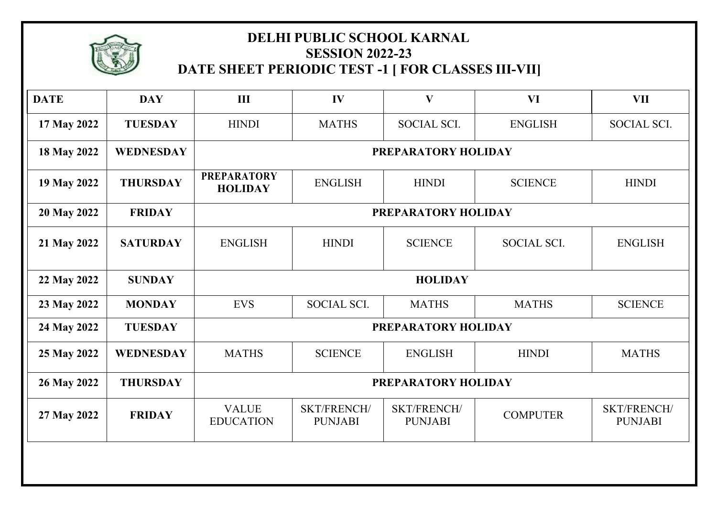

## **DELHI PUBLIC SCHOOL KARNAL SESSION 2022-23 DATE SHEET PERIODIC TEST -1 [ FOR CLASSES III-VII]**

| <b>DATE</b> | <b>DAY</b>       | III                                  | IV                             | $\mathbf{V}$                  | VI              | <b>VII</b>                    |  |  |
|-------------|------------------|--------------------------------------|--------------------------------|-------------------------------|-----------------|-------------------------------|--|--|
| 17 May 2022 | <b>TUESDAY</b>   | <b>HINDI</b>                         | <b>MATHS</b>                   | <b>SOCIAL SCI.</b>            | <b>ENGLISH</b>  | SOCIAL SCI.                   |  |  |
| 18 May 2022 | <b>WEDNESDAY</b> | PREPARATORY HOLIDAY                  |                                |                               |                 |                               |  |  |
| 19 May 2022 | <b>THURSDAY</b>  | <b>PREPARATORY</b><br><b>HOLIDAY</b> | <b>ENGLISH</b><br><b>HINDI</b> |                               | <b>SCIENCE</b>  | <b>HINDI</b>                  |  |  |
| 20 May 2022 | <b>FRIDAY</b>    | PREPARATORY HOLIDAY                  |                                |                               |                 |                               |  |  |
| 21 May 2022 | <b>SATURDAY</b>  | <b>ENGLISH</b>                       | <b>HINDI</b>                   | <b>SCIENCE</b>                | SOCIAL SCI.     | <b>ENGLISH</b>                |  |  |
| 22 May 2022 | <b>SUNDAY</b>    | <b>HOLIDAY</b>                       |                                |                               |                 |                               |  |  |
| 23 May 2022 | <b>MONDAY</b>    | <b>EVS</b>                           | <b>SOCIAL SCI.</b>             | <b>MATHS</b>                  | <b>MATHS</b>    | <b>SCIENCE</b>                |  |  |
| 24 May 2022 | <b>TUESDAY</b>   | PREPARATORY HOLIDAY                  |                                |                               |                 |                               |  |  |
| 25 May 2022 | <b>WEDNESDAY</b> | <b>MATHS</b>                         | <b>SCIENCE</b>                 | <b>ENGLISH</b>                | <b>HINDI</b>    | <b>MATHS</b>                  |  |  |
| 26 May 2022 | <b>THURSDAY</b>  | PREPARATORY HOLIDAY                  |                                |                               |                 |                               |  |  |
| 27 May 2022 | <b>FRIDAY</b>    | <b>VALUE</b><br><b>EDUCATION</b>     | SKT/FRENCH/<br><b>PUNJABI</b>  | SKT/FRENCH/<br><b>PUNJABI</b> | <b>COMPUTER</b> | SKT/FRENCH/<br><b>PUNJABI</b> |  |  |
|             |                  |                                      |                                |                               |                 |                               |  |  |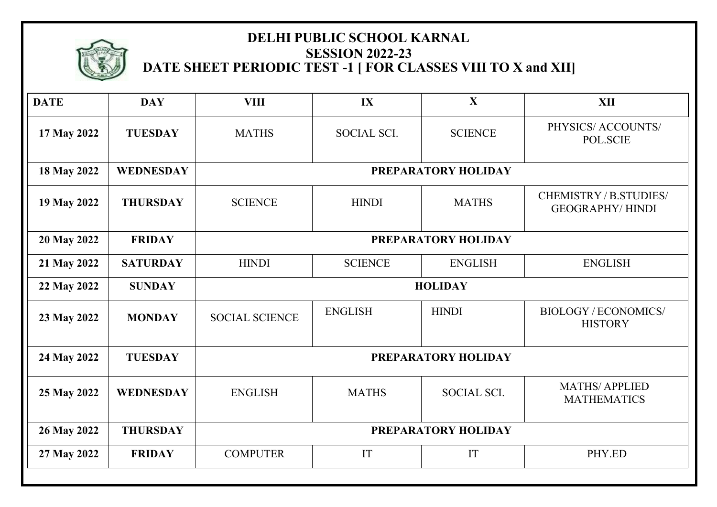

### **DELHI PUBLIC SCHOOL KARNAL SESSION 2022-23 DATE SHEET PERIODIC TEST -1 [ FOR CLASSES VIII TO X and XII]**

| <b>DATE</b> | <b>DAY</b>       | <b>VIII</b>           | IX             | $\mathbf{X}$       | <b>XII</b>                                       |  |  |
|-------------|------------------|-----------------------|----------------|--------------------|--------------------------------------------------|--|--|
| 17 May 2022 | <b>TUESDAY</b>   | <b>MATHS</b>          | SOCIAL SCI.    | <b>SCIENCE</b>     | PHYSICS/ ACCOUNTS/<br>POL.SCIE                   |  |  |
| 18 May 2022 | <b>WEDNESDAY</b> | PREPARATORY HOLIDAY   |                |                    |                                                  |  |  |
| 19 May 2022 | <b>THURSDAY</b>  | <b>SCIENCE</b>        | <b>HINDI</b>   | <b>MATHS</b>       | CHEMISTRY / B.STUDIES/<br><b>GEOGRAPHY/HINDI</b> |  |  |
| 20 May 2022 | <b>FRIDAY</b>    | PREPARATORY HOLIDAY   |                |                    |                                                  |  |  |
| 21 May 2022 | <b>SATURDAY</b>  | <b>HINDI</b>          | <b>SCIENCE</b> | <b>ENGLISH</b>     | <b>ENGLISH</b>                                   |  |  |
| 22 May 2022 | <b>SUNDAY</b>    | <b>HOLIDAY</b>        |                |                    |                                                  |  |  |
| 23 May 2022 | <b>MONDAY</b>    | <b>SOCIAL SCIENCE</b> | <b>ENGLISH</b> | <b>HINDI</b>       | <b>BIOLOGY/ECONOMICS/</b><br><b>HISTORY</b>      |  |  |
| 24 May 2022 | <b>TUESDAY</b>   | PREPARATORY HOLIDAY   |                |                    |                                                  |  |  |
| 25 May 2022 | <b>WEDNESDAY</b> | <b>ENGLISH</b>        | <b>MATHS</b>   | <b>SOCIAL SCI.</b> | <b>MATHS/APPLIED</b><br><b>MATHEMATICS</b>       |  |  |
| 26 May 2022 | <b>THURSDAY</b>  | PREPARATORY HOLIDAY   |                |                    |                                                  |  |  |
| 27 May 2022 | <b>FRIDAY</b>    | <b>COMPUTER</b>       | IT             | IT                 | PHY.ED                                           |  |  |
|             |                  |                       |                |                    |                                                  |  |  |